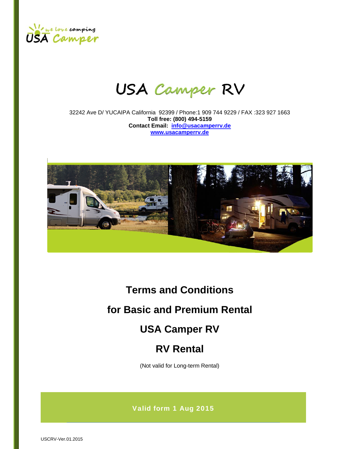

# **USA Camper RV**

32242 Ave D/ YUCAIPA California 92399 / Phone:1 909 744 9229 / FAX :323 927 1663 **Toll free: (800) 494-5159 Contact Email: info@usacamperrv.de www.usacamperrv.de**



# **Terms and Conditions**

# **for Basic and Premium Rental**

# **USA Camper RV**

# **RV Rental**

(Not valid for Long-term Rental)

Valid form 1 Aug 2015

USCRV-Ver.01.2015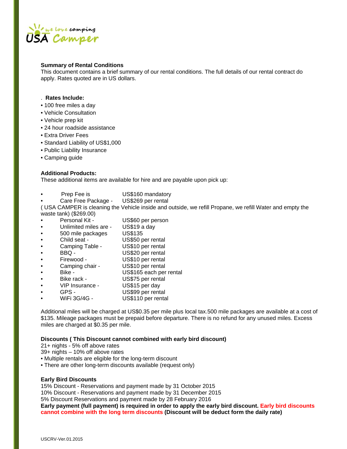

# **Summary of Rental Conditions**

This document contains a brief summary of our rental conditions. The full details of our rental contract do apply. Rates quoted are in US dollars.

# . **Rates Include:**

- 100 free miles a day
- Vehicle Consultation
- Vehicle prep kit
- 24 hour roadside assistance
- Extra Driver Fees
- Standard Liability of US\$1,000
- Public Liability Insurance
- Camping guide

# **Additional Products:**

These additional items are available for hire and are payable upon pick up:

- Prep Fee is **US\$160 mandatory**
- Care Free Package US\$269 per rental

( USA CAMPER is cleaning the Vehicle inside and outside, we refill Propane, we refill Water and empty the waste tank) (\$269.00)

- Personal Kit US\$60 per person
- Unlimited miles are US\$19 a day
- 500 mile packages US\$135
- Child seat US\$50 per rental
- Camping Table US\$10 per rental
- BBQ US\$20 per rental
- Firewood US\$10 per rental
- Camping chair US\$10 per rental
- Bike US\$165 each per rental
- Bike rack US\$75 per rental
- VIP Insurance US\$15 per day
- GPS US\$99 per rental
- WiFi 3G/4G US\$110 per rental

Additional miles will be charged at US\$0.35 per mile plus local tax.500 mile packages are available at a cost of \$135. Mileage packages must be prepaid before departure. There is no refund for any unused miles. Excess miles are charged at \$0.35 per mile.

#### **Discounts ( This Discount cannot combined with early bird discount)**

21+ nights - 5% off above rates

- 39+ nights 10% off above rates
- Multiple rentals are eligible for the long-term discount
- There are other long-term discounts available (request only)

# **Early Bird Discounts**

15% Discount - Reservations and payment made by 31 October 2015

10% Discount - Reservations and payment made by 31 December 2015

5% Discount Reservations and payment made by 28 February 2016

**Early payment (full payment) is required in order to apply the early bird discount. Early bird discounts cannot combine with the long term discounts (Discount will be deduct form the daily rate)**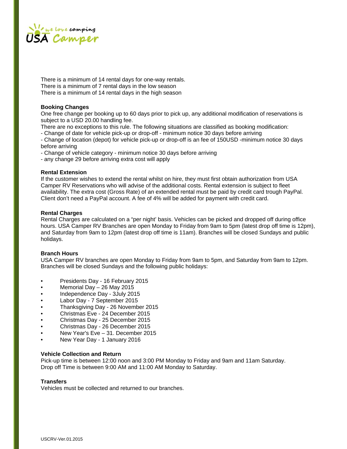

There is a minimum of 14 rental days for one-way rentals. There is a minimum of 7 rental days in the low season There is a minimum of 14 rental days in the high season

# **Booking Changes**

One free change per booking up to 60 days prior to pick up, any additional modification of reservations is subject to a USD 20.00 handling fee.

There are no exceptions to this rule. The following situations are classified as booking modification:

- Change of date for vehicle pick-up or drop-off - minimum notice 30 days before arriving

- Change of location (depot) for vehicle pick-up or drop-off is an fee of 150USD -minimum notice 30 days before arriving

- Change of vehicle category - minimum notice 30 days before arriving

- any change 29 before arriving extra cost will apply

# **Rental Extension**

If the customer wishes to extend the rental whilst on hire, they must first obtain authorization from USA Camper RV Reservations who will advise of the additional costs. Rental extension is subject to fleet availability. The extra cost (Gross Rate) of an extended rental must be paid by credit card trough PayPal. Client don't need a PayPal account. A fee of 4% will be added for payment with credit card.

# **Rental Charges**

Rental Charges are calculated on a "per night' basis. Vehicles can be picked and dropped off during office hours. USA Camper RV Branches are open Monday to Friday from 9am to 5pm (latest drop off time is 12pm), and Saturday from 9am to 12pm (latest drop off time is 11am). Branches will be closed Sundays and public holidays.

#### **Branch Hours**

USA Camper RV branches are open Monday to Friday from 9am to 5pm, and Saturday from 9am to 12pm. Branches will be closed Sundays and the following public holidays:

- Presidents Day 16 February 2015
- Memorial Day 26 May 2015
- Independence Day 3July 2015
- Labor Day 7 September 2015
- Thanksgiving Day 26 November 2015
- Christmas Eve 24 December 2015
- Christmas Day 25 December 2015
- Christmas Day 26 December 2015
- New Year's Eve 31. December 2015
- New Year Day 1 January 2016

#### **Vehicle Collection and Return**

Pick-up time is between 12:00 noon and 3:00 PM Monday to Friday and 9am and 11am Saturday. Drop off Time is between 9:00 AM and 11:00 AM Monday to Saturday.

#### **Transfers**

Vehicles must be collected and returned to our branches.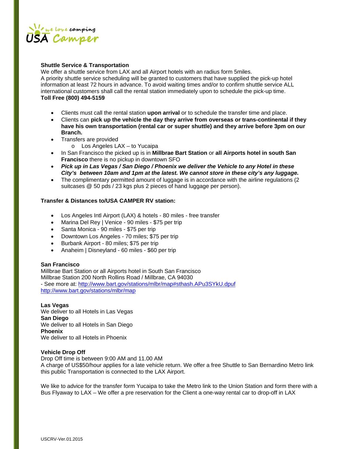

# **Shuttle Service & Transportation**

We offer a shuttle service from LAX and all Airport hotels with an radius form 5miles. A priority shuttle service scheduling will be granted to customers that have supplied the pick-up hotel information at least 72 hours in advance. To avoid waiting times and/or to confirm shuttle service ALL international customers shall call the rental station immediately upon to schedule the pick-up time. **Toll Free (800) 494-5159**

- Clients must call the rental station **upon arrival** or to schedule the transfer time and place.
- Clients can **pick up the vehicle the day they arrive from overseas or trans-continental if they have his own transportation (rental car or super shuttle) and they arrive before 3pm on our Branch.**
- Transfers are provided
	- o Los Angeles LAX to Yucaipa
- In San Francisco the picked up is in **Millbrae Bart Station** or **all Airports hotel in south San Francisco** there is no pickup in downtown SFO
- *Pick up in Las Vegas / San Diego / Phoenix we deliver the Vehicle to any Hotel in these City's between 10am and 1pm at the latest. We cannot store in these city's any luggage.*
- The complimentary permitted amount of luggage is in accordance with the airline regulations (2) suitcases @ 50 pds / 23 kgs plus 2 pieces of hand luggage per person).

# **Transfer & Distances to/USA CAMPER RV station:**

- Los Angeles Intl Airport (LAX) & hotels 80 miles free transfer
- Marina Del Rey | Venice 90 miles \$75 per trip
- Santa Monica 90 miles \$75 per trip
- Downtown Los Angeles 70 miles; \$75 per trip
- Burbank Airport 80 miles; \$75 per trip
- Anaheim | Disneyland 60 miles \$60 per trip

# **San Francisco**

Millbrae Bart Station or all Airports hotel in South San Francisco Millbrae Station 200 North Rollins Road / Millbrae, CA 94030 - See more at: http://www.bart.gov/stations/mlbr/map#sthash.APu3SYkU.dpuf http://www.bart.gov/stations/mlbr/map

#### **Las Vegas**

We deliver to all Hotels in Las Vegas **San Diego** We deliver to all Hotels in San Diego **Phoenix** We deliver to all Hotels in Phoenix

# **Vehicle Drop Off**

Drop Off time is between 9:00 AM and 11.00 AM A charge of US\$50/hour applies for a late vehicle return. We offer a free Shuttle to San Bernardino Metro link this public Transportation is connected to the LAX Airport.

We like to advice for the transfer form Yucaipa to take the Metro link to the Union Station and form there with a Bus Flyaway to LAX – We offer a pre reservation for the Client a one-way rental car to drop-off in LAX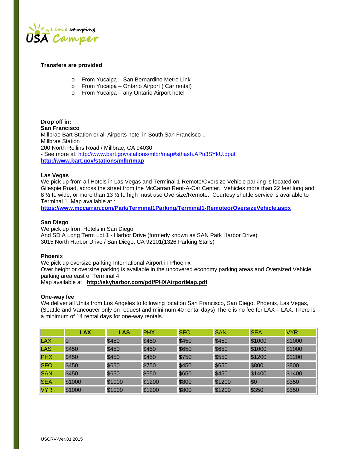

# **Transfers are provided**

- o From Yucaipa San Bernardino Metro Link
- o From Yucaipa Ontario Airport ( Car rental)
- o From Yucaipa any Ontario Airport hotel

**Drop off in: San Francisco** Millbrae Bart Station or all Airports hotel in South San Francisco .. Millbrae Station 200 North Rollins Road / Millbrae, CA 94030 - See more at: http://www.bart.gov/stations/mlbr/map#sthash.APu3SYkU.dpuf **http://www.bart.gov/stations/mlbr/map**

# **Las Vegas**

We pick up from all Hotels in Las Vegas and Terminal 1 Remote/Oversize Vehicle parking is located on Gilespie Road, across the street from the McCarran Rent-A-Car Center. Vehicles more than 22 feet long and 8 <sup>1</sup>/<sub>2</sub> ft. wide, or more than 13 <sup>1</sup>/<sub>2</sub> ft. high must use Oversize/Remote. Courtesy shuttle service is available to Terminal 1. Map available at :

**https://www.mccarran.com/Park/Terminal1Parking/Terminal1-RemoteorOversizeVehicle.aspx**

#### **San Diego**

We pick up from Hotels in San Diego And SDIA Long Term Lot 1 - Harbor Drive (formerly known as SAN Park Harbor Drive) 3015 North Harbor Drive / San Diego, CA 92101(1326 Parking Stalls)

#### **Phoenix**

We pick up oversize parking International Airport in Phoenix Over height or oversize parking is available in the uncovered economy parking areas and Oversized Vehicle parking area east of Terminal 4. Map available at **http://skyharbor.com/pdf/PHXAirportMap.pdf**

#### **One-way fee**

We deliver all Units from Los Angeles to following location San Francisco, San Diego, Phoenix, Las Vegas, (Seattle and Vancouver only on request and minimum 40 rental days) There is no fee for LAX – LAX. There is a minimum of 14 rental days for one-way rentals.

|            | <b>LAX</b> | <b>LAS</b> | <b>PHX</b> | <b>SFO</b> | <b>SAN</b> | <b>SEA</b> | <b>VYR</b> |
|------------|------------|------------|------------|------------|------------|------------|------------|
| <b>LAX</b> |            | \$450      | \$450      | \$450      | \$450      | \$1000     | \$1000     |
| <b>LAS</b> | \$450      | \$450      | \$450      | \$650      | \$650      | \$1000     | \$1000     |
| <b>PHX</b> | \$450      | \$450      | \$450      | \$750      | \$550      | \$1200     | \$1200     |
| <b>SFO</b> | \$450      | \$650      | \$750      | \$450      | \$650      | \$800      | \$800      |
| <b>SAN</b> | \$450      | \$650      | \$550      | \$650      | \$450      | \$1400     | \$1400     |
| <b>SEA</b> | \$1000     | \$1000     | \$1200     | \$800      | \$1200     | \$0        | \$350      |
| <b>VYR</b> | \$1000     | \$1000     | \$1200     | \$800      | \$1200     | \$350      | \$350      |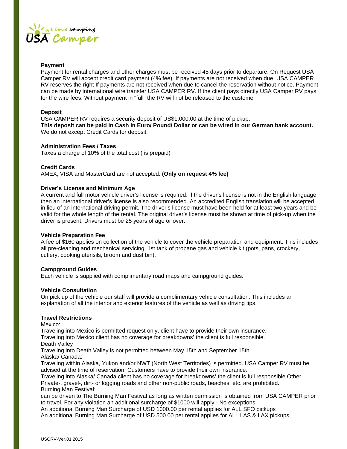

#### **Payment**

Payment for rental charges and other charges must be received 45 days prior to departure. On Request USA Camper RV will accept credit card payment (4% fee). If payments are not received when due, USA CAMPER RV reserves the right If payments are not received when due to cancel the reservation without notice. Payment can be made by international wire transfer USA CAMPER RV. If the client pays directly USA Camper RV pays for the wire fees. Without payment in "full" the RV will not be released to the customer.

# **Deposit**

USA CAMPER RV requires a security deposit of US\$1,000.00 at the time of pickup. **This deposit can be paid in Cash in Euro/ Pound/ Dollar or can be wired in our German bank account.** We do not except Credit Cards for deposit.

# **Administration Fees / Taxes**

Taxes a charge of 10% of the total cost ( is prepaid)

# **Credit Cards**

AMEX, VISA and MasterCard are not accepted**. (Only on request 4% fee)**

# **Driver's License and Minimum Age**

A current and full motor vehicle driver's license is required. If the driver's license is not in the English language then an international driver's license is also recommended. An accredited English translation will be accepted in lieu of an international driving permit. The driver's license must have been held for at least two years and be valid for the whole length of the rental. The original driver's license must be shown at time of pick-up when the driver is present. Drivers must be 25 years of age or over.

#### **Vehicle Preparation Fee**

A fee of \$160 applies on collection of the vehicle to cover the vehicle preparation and equipment. This includes all pre-cleaning and mechanical servicing, 1st tank of propane gas and vehicle kit (pots, pans, crockery, cutlery, cooking utensils, broom and dust bin).

# **Campground Guides**

Each vehicle is supplied with complimentary road maps and campground guides.

#### **Vehicle Consultation**

On pick up of the vehicle our staff will provide a complimentary vehicle consultation. This includes an explanation of all the interior and exterior features of the vehicle as well as driving tips.

# **Travel Restrictions**

Mexico:

Traveling into Mexico is permitted request only, client have to provide their own insurance. Traveling into Mexico client has no coverage for breakdowns' the client is full responsible. Death Valley

Traveling into Death Valley is not permitted between May 15th and September 15th. Alaska/ Canada:

Traveling within Alaska, Yukon and/or NWT (North West Territories) is permitted. USA Camper RV must be advised at the time of reservation. Customers have to provide their own insurance.

Traveling into Alaska/ Canada client has no coverage for breakdowns' the client is full responsible.Other Private-, gravel-, dirt- or logging roads and other non-public roads, beaches, etc. are prohibited. Burning Man Festival:

can be driven to The Burning Man Festival as long as written permission is obtained from USA CAMPER prior to travel. For any violation an additional surcharge of \$1000 will apply - No exceptions

An additional Burning Man Surcharge of USD 1000.00 per rental applies for ALL SFO pickups An additional Burning Man Surcharge of USD 500.00 per rental applies for ALL LAS & LAX pickups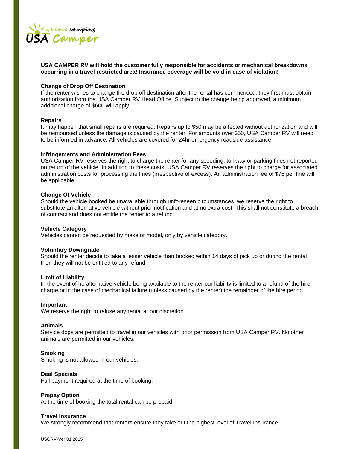

# **USA CAMPER RV will hold the customer fully responsible for accidents or mechanical breakdowns occurring in a travel restricted area! Insurance coverage will be void in case of violation!**

#### **Change of Drop Off Destination**

If the renter wishes to change the drop off destination after the rental has commenced, they first must obtain authorization from the USA Camper RV Head Office. Subject to the change being approved, a minimum additional charge of \$600 will apply.

#### **Repairs**

It may happen that small repairs are required. Repairs up to \$50 may be affected without authorization and will be reimbursed unless the damage is caused by the renter. For amounts over \$50, USA Camper RV will need to be informed in advance. All vehicles are covered for 24hr emergency roadside assistance.

#### **Infringements and Administration Fees**

USA Camper RV reserves the right to charge the renter for any speeding, toll way or parking fines not reported on return of the vehicle. In addition to these costs, USA Camper RV reserves the right to charge for associated administration costs for processing the fines (irrespective of excess). An administration fee of \$75 per fine will be applicable.

#### **Change Of Vehicle**

Should the vehicle booked be unavailable through unforeseen circumstances, we reserve the right to substitute an alternative vehicle without prior notification and at no extra cost. This shall not constitute a breach of contract and does not entitle the renter to a refund.

#### **Vehicle Category**

Vehicles cannot be requested by make or model, only by vehicle category**.**

#### **Voluntary Downgrade**

Should the renter decide to take a lesser vehicle than booked within 14 days of pick up or during the rental then they will not be entitled to any refund.

#### **Limit of Liability**

In the event of no alternative vehicle being available to the renter our liability is limited to a refund of the hire charge or in the case of mechanical failure (unless caused by the renter) the remainder of the hire period.

#### **Important**

We reserve the right to refuse any rental at our discretion.

#### **Animals**

Service dogs are permitted to travel in our vehicles with prior permission from USA Camper RV. No other animals are permitted in our vehicles.

#### **Smoking**

Smoking is not allowed in our vehicles.

#### **Deal Specials**

Full payment required at the time of booking.

#### **Prepay Option**

At the time of booking the total rental can be prepaid

#### **Travel Insurance**

We strongly recommend that renters ensure they take out the highest level of Travel Insurance.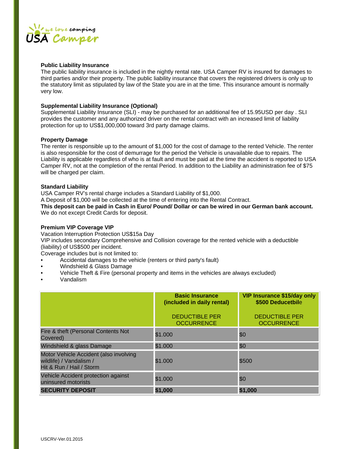

# **Public Liability Insurance**

The public liability insurance is included in the nightly rental rate. USA Camper RV is insured for damages to third parties and/or their property. The public liability insurance that covers the registered drivers is only up to the statutory limit as stipulated by law of the State you are in at the time. This insurance amount is normally very low.

# **Supplemental Liability Insurance (Optional)**

Supplemental Liability Insurance (SLI) - may be purchased for an additional fee of 15.95USD per day . SLI provides the customer and any authorized driver on the rental contract with an increased limit of liability protection for up to US\$1,000,000 toward 3rd party damage claims.

#### **Property Damage**

The renter is responsible up to the amount of \$1,000 for the cost of damage to the rented Vehicle. The renter is also responsible for the cost of demurrage for the period the Vehicle is unavailable due to repairs. The Liability is applicable regardless of who is at fault and must be paid at the time the accident is reported to USA Camper RV, not at the completion of the rental Period. In addition to the Liability an administration fee of \$75 will be charged per claim.

# **Standard Liability**

USA Camper RV's rental charge includes a Standard Liability of \$1,000. A Deposit of \$1,000 will be collected at the time of entering into the Rental Contract. **This deposit can be paid in Cash in Euro/ Pound/ Dollar or can be wired in our German bank account.** We do not except Credit Cards for deposit.

# **Premium VIP Coverage VIP**

Vacation Interruption Protection US\$15a Day

VIP includes secondary Comprehensive and Collision coverage for the rented vehicle with a deductible (liability) of US\$500 per incident.

Coverage includes but is not limited to:

- Accidental damages to the vehicle (renters or third party's fault)
- Windshield & Glass Damage
- Vehicle Theft & Fire (personal property and items in the vehicles are always excluded)
- Vandalism

|                                                                                               | <b>Basic Insurance</b><br>(included in daily rental)<br><b>DEDUCTIBLE PER</b><br><b>OCCURRENCE</b> | <b>VIP Insurance \$15/day only</b><br>\$500 Deducetbile<br><b>DEDUCTIBLE PER</b><br><b>OCCURRENCE</b> |
|-----------------------------------------------------------------------------------------------|----------------------------------------------------------------------------------------------------|-------------------------------------------------------------------------------------------------------|
| Fire & theft (Personal Contents Not<br>Covered)                                               | \$1.000                                                                                            | \$0                                                                                                   |
| Windshield & glass Damage                                                                     | \$1.000                                                                                            | \$0                                                                                                   |
| Motor Vehicle Accident (also involving<br>wildlife) / Vandalism /<br>Hit & Run / Hail / Storm | \$1.000                                                                                            | \$500                                                                                                 |
| Vehicle Accident protection against<br>uninsured motorists                                    | \$1.000                                                                                            | \$0                                                                                                   |
| <b>SECURITY DEPOSIT</b>                                                                       | \$1,000                                                                                            | \$1,000                                                                                               |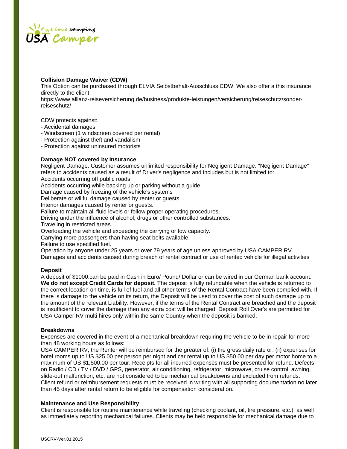

# **Collision Damage Waiver (CDW)**

This Option can be purchased through ELVIA Selbstbehalt-Ausschluss CDW. We also offer a this insurance directly to the client.

https://www.allianz-reiseversicherung.de/business/produkte-leistungen/versicherung/reiseschutz/sonderreiseschutz/

CDW protects against:

- Accidental damages
- Windscreen (1 windscreen covered per rental)
- Protection against theft and vandalism
- Protection against uninsured motorists

# **Damage NOT covered by Insurance**

Negligent Damage. Customer assumes unlimited responsibility for Negligent Damage. "Negligent Damage" refers to accidents caused as a result of Driver's negligence and includes but is not limited to: Accidents occurring off public roads.

Accidents occurring while backing up or parking without a guide.

Damage caused by freezing of the vehicle's systems

Deliberate or willful damage caused by renter or guests.

Interior damages caused by renter or guests.

Failure to maintain all fluid levels or follow proper operating procedures.

Driving under the influence of alcohol, drugs or other controlled substances.

Traveling in restricted areas.

Overloading the vehicle and exceeding the carrying or tow capacity.

Carrying more passengers than having seat belts available.

Failure to use specified fuel.

Operation by anyone under 25 years or over 79 years of age unless approved by USA CAMPER RV.

Damages and accidents caused during breach of rental contract or use of rented vehicle for illegal activities

#### **Deposit**

A deposit of \$1000.can be paid in Cash in Euro/ Pound/ Dollar or can be wired in our German bank account. **We do not except Credit Cards for deposit.** The deposit is fully refundable when the vehicle is returned to the correct location on time, is full of fuel and all other terms of the Rental Contract have been complied with. If there is damage to the vehicle on its return, the Deposit will be used to cover the cost of such damage up to the amount of the relevant Liability. However, if the terms of the Rental Contract are breached and the deposit is insufficient to cover the damage then any extra cost will be charged. Deposit Roll Over's are permitted for USA Camper RV multi hires only within the same Country when the deposit is banked.

#### **Breakdowns**

Expenses are covered in the event of a mechanical breakdown requiring the vehicle to be in repair for more than 48 working hours as follows:

USA CAMPER RV, the Renter will be reimbursed for the greater of: (i) the gross daily rate or: (ii) expenses for hotel rooms up to US \$25.00 per person per night and car rental up to US \$50.00 per day per motor home to a maximum of US \$1,500.00 per tour. Receipts for all incurred expenses must be presented for refund. Defects on Radio / CD / TV / DVD / GPS, generator, air conditioning, refrigerator, microwave, cruise control, awning, slide-out malfunction, etc. are not considered to be mechanical breakdowns and excluded from refunds. Client refund or reimbursement requests must be received in writing with all supporting documentation no later than 45 days after rental return to be eligible for compensation consideration.

#### **Maintenance and Use Responsibility**

Client is responsible for routine maintenance while traveling (checking coolant, oil, tire pressure, etc.), as well as immediately reporting mechanical failures. Clients may be held responsible for mechanical damage due to